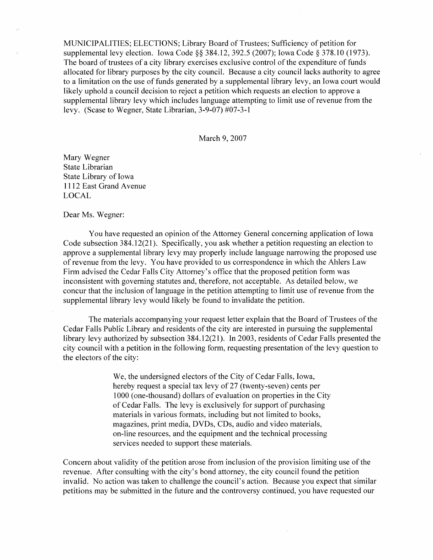MUNICIPALITIES; ELECTIONS; Library Board of Trustees; Sufficiency of petition for supplemental levy election. Iowa Code §§ 384.12, 392.5 (2007); Iowa Code § 378.10 (1973). The board of trustees of a city library exercises exclusive control of the expenditure of funds allocated for library purposes by the city council. Because a city council lacks authority to agree to a limitation on the use of funds generated by a supplemental library levy, an Iowa court would likely uphold a council decision to reject a petition which requests an election to approve a supplemental library levy which includes language attempting to limit use of revenue from the levy. (Scase to Wegner, State Librarian, 3-9-07) #07-3-1

## March 9, 2007

Mary Wegner State Librarian State Library of Iowa 1112 East Grand Avenue LOCAL

Dear Ms. Wegner:

You have requested an opinion of the Attorney General concerning application of Iowa Code subsection 384.12(21). Specifically, you ask whether a petition requesting an election to approve a supplemental library levy may properly include language narrowing the proposed use of revenue from the levy . You have provided to us correspondence in which the Ahlers Law Firm advised the Cedar Falls City Attorney's office that the proposed petition form was inconsistent with governing statutes and, therefore, not acceptable. As detailed below, we concur that the inclusion of language in the petition attempting to limit use of revenue from the supplemental library levy would likely be found to invalidate the petition.

The materials accompanying your request letter explain that the Board of Trustees of the Cedar Falls Public Library and residents of the city are interested in pursuing the supplemental library levy authorized by subsection 384.12(21). In 2003, residents of Cedar Falls presented the city council with a petition in the following form, requesting presentation of the levy question to the electors of the city:

> We, the undersigned electors of the City of Cedar Falls, Iowa, hereby request a special tax levy of 27 (twenty-seven) cents per 1 000 (one-thousand) dollars of evaluation on properties in the City of Cedar Falls. The levy is exclusively for support of purchasing materials in various formats, including but not limited to books, magazines, print media, DVDs, CDs, audio and video materials, on-line resources, and the equipment and the technical processing services needed to support these materials.

Concern about validity of the petition arose from inclusion of the provision limiting use of the revenue. After consulting with the city's bond attorney, the city council found the petition invalid. No action was taken to challenge the council's action. Because you expect that similar petitions may be submitted in the future and the controversy continued, you have requested our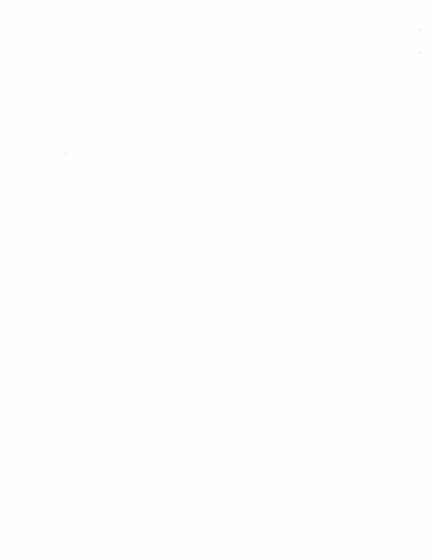$\mathcal{L}(\mathcal{L}(\mathcal{L}))$  and  $\mathcal{L}(\mathcal{L}(\mathcal{L}))$  and  $\mathcal{L}(\mathcal{L}(\mathcal{L}))$  and  $\mathcal{L}(\mathcal{L}(\mathcal{L}))$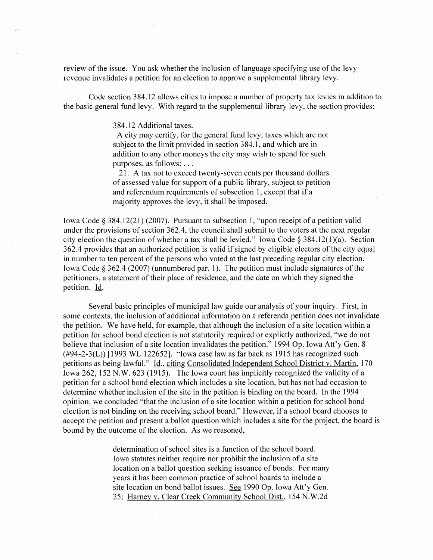review of the issue. You ask whether the inclusion of language specifying use of the levy revenue invalidates a petition for an election to approve a supplemental library levy.

Code section 384.12 allows cities to impose a number of property tax levies in addition to the basic general fund levy. With regard to the supplemental library levy, the section provides:

384.12 Additional taxes.

A city may certify, for the general fund levy, taxes which are not subject to the limit provided in section 384.1, and which are in addition to any other moneys the city may wish to spend for such purposes, as follows: ...

21. A tax not to exceed twenty-seven cents per thousand dollars of assessed value for support of a public library, subject to petition and referendum requirements of subsection 1, except that if a majority approves the levy, it shall be imposed.

Iowa Code § 384.12(21) (2007). Pursuant to subsection 1, "upon receipt of a petition valid under the provisions of section 362.4, the council shall submit to the voters at the next regular city election the question of whether a tax shall be levied." Iowa Code § 384.12(1)(a). Section 362.4 provides that an authorized petition is valid if signed by eligible electors of the city equal in number to ten percent of the persons who voted at the last preceding regular city election. Iowa Code § 362.4 (2007) (unnumbered par. 1). The petition must include signatures of the petitioners, a statement of their place of residence, and the date on which they signed the petition. Id.

Several basic principles of municipal law guide our analysis of your inquiry. First, in some contexts, the inclusion of additional information on a referenda petition does not invalidate the petition. We have held, for example, that although the inclusion of a site location within a petition for school bond election is not statutorily required or explictly authorized, "we do not believe that inclusion of a site location invalidates the petition." 1994 Op. Iowa Att'y Gen. 8  $(\text{\#94-2-3(L)})$  [1993 WL 122652]. "Iowa case law as far back as 1915 has recognized such petitions as being lawful." Id., citing Consolidated Independent School District v. Martin, 170 Iowa 262, 152 N.W. 623 (1915). The Iowa court has implicitly recognized the validity of a petition for a school bond election which includes a site location, but has not had occasion to determine whether inclusion of the site in the petition is binding on the board. In the 1994 opinion, we concluded "that the inclusion of a site location within a petition for school bond election is not binding on the receiving school board." However, if a school board chooses to accept the petition and present a ballot question which includes a site for the project, the board is bound by the outcome of the election. As we reasoned,

> determination of school sites is a function of the school board. Iowa statutes neither require nor prohibit the inclusion of a site location on a ballot question seeking issuance of bonds. For many years it has been common practice of school boards to include a site location on bond ballot issues. See 1990 Op. Iowa Att'y Gen. 25; Harney v. Clear Creek Community School Dist., 154 N.W.2d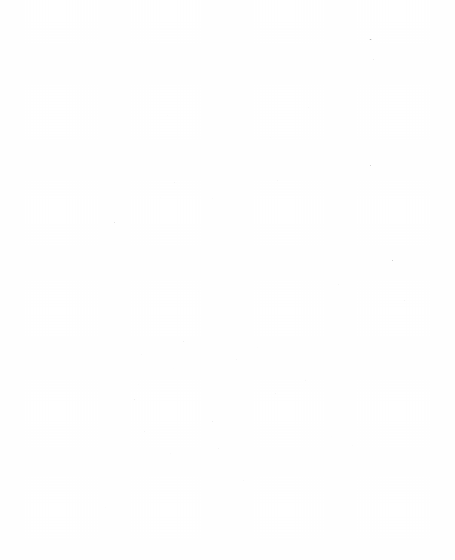$\mathcal{L}^{\text{max}}$  $\mathcal{O}(\mathcal{O}(\log n))$  $\label{eq:1.1} \mathbf{A} = \begin{bmatrix} \mathbf{A} & \mathbf{A} & \mathbf{A} \\ \mathbf{A} & \mathbf{A} & \mathbf{A} \\ \mathbf{A} & \mathbf{A} & \mathbf{A} \end{bmatrix}$  $\label{eq:2.1} \mathcal{L}=\frac{1}{2}\sum_{i=1}^{n} \frac{1}{2}\sum_{i=1}^{n} \frac{1}{2}\sum_{i=1}^{n} \frac{1}{2}\sum_{i=1}^{n} \frac{1}{2}\sum_{i=1}^{n} \frac{1}{2}\sum_{i=1}^{n} \frac{1}{2}\sum_{i=1}^{n} \frac{1}{2}\sum_{i=1}^{n} \frac{1}{2}\sum_{i=1}^{n} \frac{1}{2}\sum_{i=1}^{n} \frac{1}{2}\sum_{i=1}^{n} \frac{1}{2}\sum_{i=1}^{n} \frac{1}{2}\sum_{i=1}$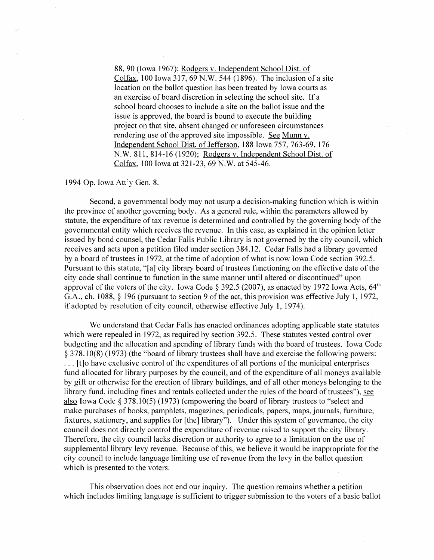88, 90 (Iowa 1967); Rodgers v. Independent School Dist. of Colfax, 100 Iowa 317, 69 N.W. 544 (1896). The inclusion of a site location on the ballot question has been treated by Iowa courts as an exercise of board discretion in selecting the school site. If a school board chooses to include a site on the ballot issue and the issue is approved, the board is bound to execute the building project on that site, absent changed or unforeseen circumstances rendering use of the approved site impossible. See Munn v. Independent School Dist. of Jefferson, 188 Iowa 757, 763-69, 176 N.W. 811, 814-16 (1920); Rodgers v.Independent School Dist. of Colfax, 100 Iowa at 321-23, 69 N.W. at 545-46.

## 1994 Op. Iowa Att'y Gen. 8.

Second, a governmental body may not usurp a decision-making function which is within the province of another governing body. As a general rule, within the parameters allowed by statute, the expenditure of tax revenue is determined and controlled by the governing body of the governmental entity which receives the revenue. In this case, as explained in the opinion letter issued by bond counsel, the Cedar Falls Public Library is not governed by the city council, which receives and acts upon a petition filed under section 384.12. Cedar Falls had a library governed by a board of trustees in 1972, at the time of adoption of what is now Iowa Code section 392.5. Pursuant to this statute, "[a] city library board of trustees functioning on the effective date of the city code shall continue to function in the same manner until altered or discontinued" upon approval of the voters of the city. Iowa Code § 392.5 (2007), as enacted by 1972 Iowa Acts,  $64<sup>th</sup>$ G.A., ch. 1088, § 196 (pursuant to section 9 of the act, this provision was effective July 1, 1972, if adopted by resolution of city council, otherwise effective July 1, 1974).

We understand that Cedar Falis has enacted ordinances adopting applicable state statutes which were repealed in 1972, as required by section 392.5. These statutes vested control over budgeting and the allocation and spending of library funds with the board of trustees. Iowa Code § 378.10(8) (1973) (the "board of library trustees shall have and exercise the following powers: ... [t]o have exclusive control of the expenditures of all portions of the municipal enterprises fund allocated for library purposes by the council, and of the expenditure of all moneys available by gift or otherwise for the erection of library buildings, and of all other moneys belonging to the library fund, including fines and rentals collected under the rules of the board of trustees"), see also Iowa Code § 378.10(5) (1973) (empowering the board of library trustees to "select and make purchases of books, pamphlets, magazines, periodicals, papers, maps, journals, furniture, fixtures, stationery, and supplies for [the] library"). Under this system of governance, the city council does not directly control the expenditure of revenue raised to support the city library. Therefore, the city council lacks discretion or authority to agree to a limitation on the use of supplemental library levy revenue. Because of this, we believe it would be inappropriate for the city council to include language limiting use of revenue from the levy in the ballot question which is presented to the voters.

This observation does not end our inquiry. The question remains whether a petition which includes limiting language is sufficient to trigger submission to the voters of a basic ballot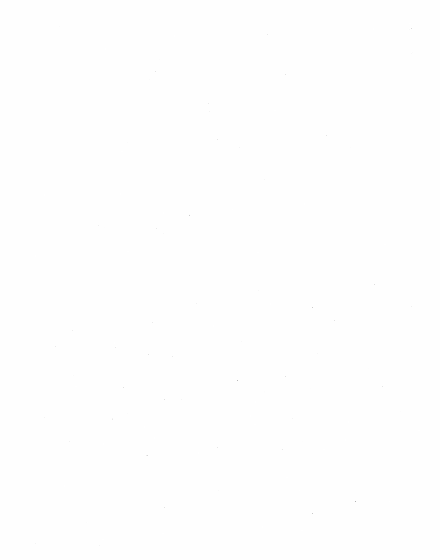$\alpha$  ,  $\alpha$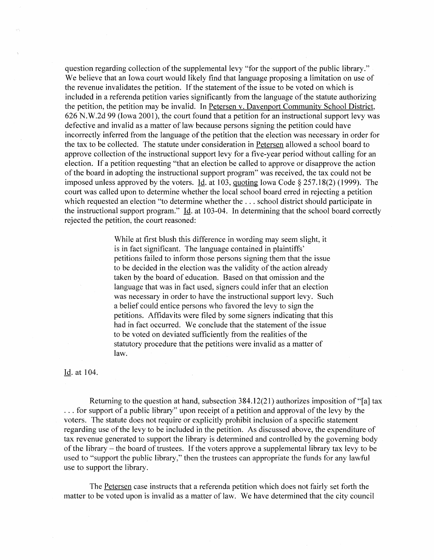question regarding collection of the supplemental levy "for the support of the public library." We believe that an Iowa court would likely find that language proposing a limitation on use of the revenue invalidates the petition. If the statement of the issue to be voted on which is included in a referenda petition varies significantly from the language of the statute authorizing the petition, the petition may be invalid. In Petersen v. Davenport Community School District, 626 N.W.2d 99 (Iowa 2001), the court found that a petition for an instructional support levy was defective and invalid as a matter of law because persons signing the petition could have incorrectly inferred from the language of the petition that the election was necessary in order for the tax to be collected. The statute under consideration in Petersen allowed a school board to approve collection of the instructional support levy for a five-year period without calling for an election. If a petition requesting "that an election be called to approve or disapprove the action of the board in adopting the instructional support program" was received, the tax could not be imposed unless approved by the voters. Id. at 103, quoting Iowa Code § 257.18(2) (1999). The court was called upon to determine whether the local school board erred in rejecting a petition which requested an election "to determine whether the ... school district should participate in the instructional support program." Id. at 103-04. In determining that the school board correctly rejected the petition, the court reasoned:

> While at first blush this difference in wording may seem slight, it is in fact significant. The language contained in plaintiffs' petitions failed to inform those persons signing them that the issue to be decided in the election was the validity of the action already taken by the board of education. Based on that omission and the language that was in fact used, signers could infer that an election was necessary in order to have the instructional support levy. Such a belief could entice persons who favored the levy to sign the petitions. Affidavits were filed by some signers indicating that this had in fact occurred. We conclude that the statement of the issue to be voted on deviated sufficiently from the realities of the statutory procedure that the petitions were invalid as a matter of law.

## Id. at 104.

Returning to the question at hand, subsection 384.12(21) authorizes imposition of "[a] tax ... for support of a public library" upon receipt of a petition and approval of the levy by the voters. The statute does not require or explicitly prohibit inclusion of a specific statement regarding use of the levy to be included in the petition. As discussed above, the expenditure of tax revenue generated to support the library is determined and controlled by the governing body of the library - the board of trustees. If the voters approve a supplemental library tax levy to be used to "support the public library," then the trustees can appropriate the funds for any lawful use to support the library.

The Petersen case instructs that a referenda petition which does not fairly set forth the matter to be voted upon is invalid as a matter of law. We have determined that the city council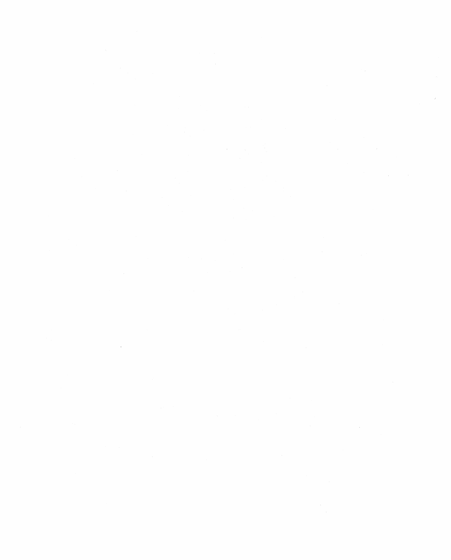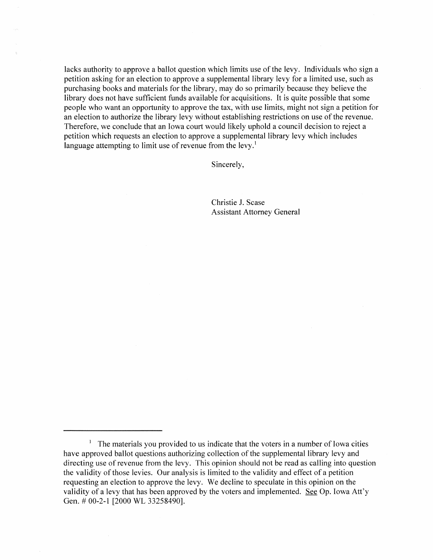lacks authority to approve a ballot question which limits use of the levy. Individuals who sign a petition asking for an election to approve a supplemental library levy for a limited use, such as purchasing books and materials for the library, may do so primarily because they believe the library does not have sufficient funds available for acquisitions. It is quite possible that some people who want an opportunity to approve the tax, with use limits, might not sign a petition for an election to authorize the library levy without establishing restrictions on use of the revenue. Therefore, we conclude that an Iowa court would likely uphold a council decision to reject a petition which requests an election to approve a supplemental library levy which includes language attempting to limit use of revenue from the levy.<sup>1</sup>

Sincerely,

Christie 1. Scase Assistant Attorney General

<sup>&</sup>lt;sup>1</sup> The materials you provided to us indicate that the voters in a number of Iowa cities have approved ballot questions authorizing collection of the supplemental library levy and directing use of revenue from the levy. This opinion should not be read as calling into question the validity of those levies. Our analysis is limited to the validity and effect of a petition requesting an election to approve the levy. We decline to speculate in this opinion on the validity of a levy that has been approved by the voters and implemented. See Op. Iowa Att'y Gen. # 00-2-1 [2000 WL 33258490].